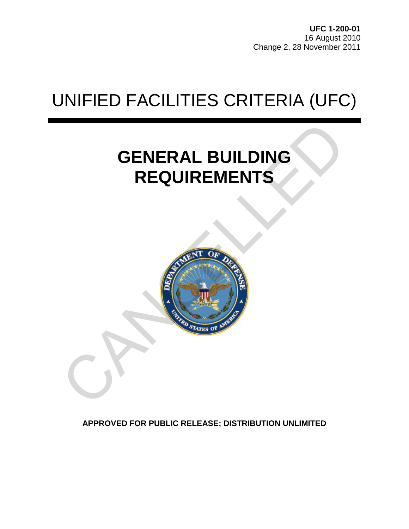# UNIFIED FACILITIES CRITERIA (UFC)

## **GENERAL BUILDING REQUIREMENTS**



**APPROVED FOR PUBLIC RELEASE; DISTRIBUTION UNLIMITED**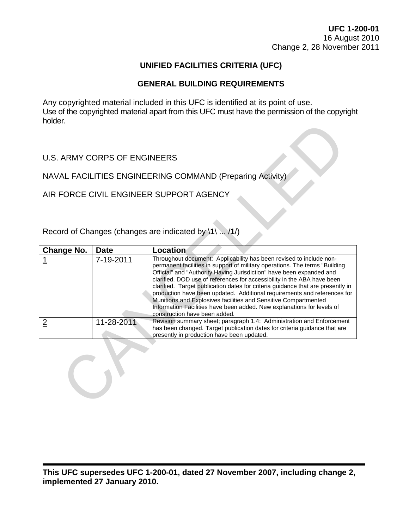### **UNIFIED FACILITIES CRITERIA (UFC)**

### **GENERAL BUILDING REQUIREMENTS**

Any copyrighted material included in this UFC is identified at its point of use. Use of the copyrighted material apart from this UFC must have the permission of the copyright holder.

| <b>IIUIUCI.</b>                                           |             |                                                                                                                                                                                                                                                                                                                                                                                                                                                                                                                                                                                                                                                    |  |  |
|-----------------------------------------------------------|-------------|----------------------------------------------------------------------------------------------------------------------------------------------------------------------------------------------------------------------------------------------------------------------------------------------------------------------------------------------------------------------------------------------------------------------------------------------------------------------------------------------------------------------------------------------------------------------------------------------------------------------------------------------------|--|--|
| <b>U.S. ARMY CORPS OF ENGINEERS</b>                       |             |                                                                                                                                                                                                                                                                                                                                                                                                                                                                                                                                                                                                                                                    |  |  |
| NAVAL FACILITIES ENGINEERING COMMAND (Preparing Activity) |             |                                                                                                                                                                                                                                                                                                                                                                                                                                                                                                                                                                                                                                                    |  |  |
| AIR FORCE CIVIL ENGINEER SUPPORT AGENCY                   |             |                                                                                                                                                                                                                                                                                                                                                                                                                                                                                                                                                                                                                                                    |  |  |
| Record of Changes (changes are indicated by \1\  /1/)     |             |                                                                                                                                                                                                                                                                                                                                                                                                                                                                                                                                                                                                                                                    |  |  |
| <b>Change No.</b>                                         | <b>Date</b> | Location                                                                                                                                                                                                                                                                                                                                                                                                                                                                                                                                                                                                                                           |  |  |
|                                                           | 7-19-2011   | Throughout document: Applicability has been revised to include non-<br>permanent facilities in support of military operations. The terms "Building<br>Official" and "Authority Having Jurisdiction" have been expanded and<br>clarified. DOD use of references for accessibility in the ABA have been<br>clarified. Target publication dates for criteria guidance that are presently in<br>production have been updated. Additional requirements and references for<br>Munitions and Explosives facilities and Sensitive Compartmented<br>Information Facilities have been added. New explanations for levels of<br>construction have been added. |  |  |
| $\overline{2}$                                            | 11-28-2011  | Revision summary sheet; paragraph 1.4: Administration and Enforcement<br>has been changed. Target publication dates for criteria guidance that are<br>presently in production have been updated.                                                                                                                                                                                                                                                                                                                                                                                                                                                   |  |  |
|                                                           |             |                                                                                                                                                                                                                                                                                                                                                                                                                                                                                                                                                                                                                                                    |  |  |

**This UFC supersedes UFC 1-200-01, dated 27 November 2007, including change 2, implemented 27 January 2010.**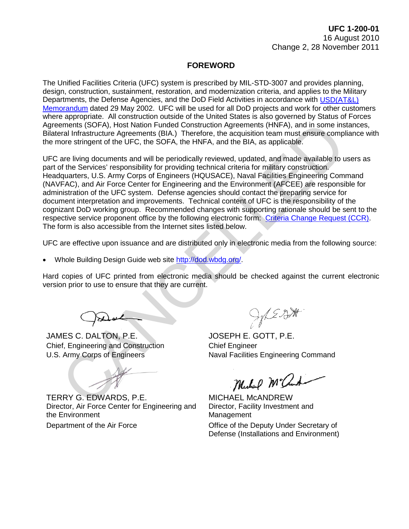### **FOREWORD**

The Unified Facilities Criteria (UFC) system is prescribed by MIL-STD-3007 and provides planning, design, construction, sustainment, restoration, and modernization criteria, and applies to the Military Departments, the Defense Agencies, and the DoD Field Activities in accordance with [USD\(AT&L\)](http://www.wbdg.org/pdfs/ufc_implementation.pdf)  [Memorandum](http://www.wbdg.org/pdfs/ufc_implementation.pdf) dated 29 May 2002. UFC will be used for all DoD projects and work for other customers where appropriate. All construction outside of the United States is also governed by Status of Forces Agreements (SOFA), Host Nation Funded Construction Agreements (HNFA), and in some instances, Bilateral Infrastructure Agreements (BIA.) Therefore, the acquisition team must ensure compliance with the more stringent of the UFC, the SOFA, the HNFA, and the BIA, as applicable.

UFC are living documents and will be periodically reviewed, updated, and made available to users as part of the Services' responsibility for providing technical criteria for military construction. Headquarters, U.S. Army Corps of Engineers (HQUSACE), Naval Facilities Engineering Command (NAVFAC), and Air Force Center for Engineering and the Environment (AFCEE) are responsible for administration of the UFC system. Defense agencies should contact the preparing service for document interpretation and improvements. Technical content of UFC is the responsibility of the cognizant DoD working group. Recommended changes with supporting rationale should be sent to the respective service proponent office by the following electronic form: [Criteria Change Request \(CCR\).](http://www.wbdg.org/ccb/browse_cat.php?o=29&c=4) The form is also accessible from the Internet sites listed below. ments (SOFA), Host Nation Funded Construction Agreements (HNFA), and in some insternation and Constrained Constrained Constrained Constrained Constrained and mode available to the UFC, the SOFA, the HNFA, and the BilA, as

UFC are effective upon issuance and are distributed only in electronic media from the following source:

• Whole Building Design Guide web site http://dod.wbdg.org/.

Hard copies of UFC printed from electronic media should be checked against the current electronic version prior to use to ensure that they are current.

JAMES C. DALTON, P.E. JOSEPH E. GOTT, P.E. Chief, Engineering and Construction Chief Engineer

TERRY G. EDWARDS, P.E. MICHAEL MCANDREW Director, Air Force Center for Engineering and the Environment Department of the Air Force Office of the Deputy Under Secretary of

U.S. Army Corps of Engineers Naval Facilities Engineering Command

Director, Facility Investment and Management Defense (Installations and Environment)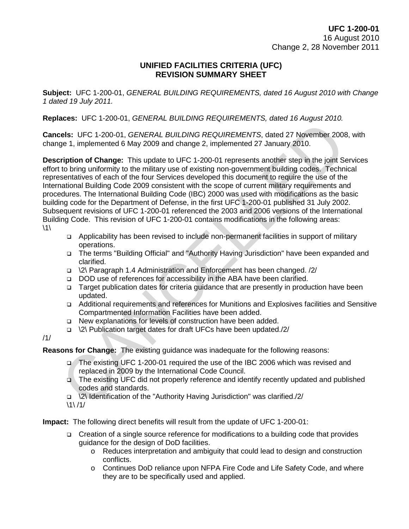### **UNIFIED FACILITIES CRITERIA (UFC) REVISION SUMMARY SHEET**

**Subject:** UFC 1-200-01, *GENERAL BUILDING REQUIREMENTS, dated 16 August 2010 with Change 1 dated 19 July 2011.*

**Replaces:** UFC 1-200-01, *GENERAL BUILDING REQUIREMENTS, dated 16 August 2010.*

**Cancels:** UFC 1-200-01, *GENERAL BUILDING REQUIREMENTS*, dated 27 November 2008, with change 1, implemented 6 May 2009 and change 2, implemented 27 January 2010.

**Description of Change:** This update to UFC 1-200-01 represents another step in the joint Services effort to bring uniformity to the military use of existing non-government building codes. Technical representatives of each of the four Services developed this document to require the use of the International Building Code 2009 consistent with the scope of current military requirements and procedures. The International Building Code (IBC) 2000 was used with modifications as the basic building code for the Department of Defense, in the first UFC 1-200-01 published 31 July 2002. Subsequent revisions of UFC 1-200-01 referenced the 2003 and 2006 versions of the International Building Code. This revision of UFC 1-200-01 contains modifications in the following areas:  $\backslash$ 1 $\backslash$ **els:** UFC 1-200-01, *GENERAL BUILDING REQUIREMENTS*, dated 27 November 2008<br>
ge 1, implemented 6 May 2009 and change 2, implemented 27 January 2010.<br> **cription of Change:** This update to UFC 1-200-01 represents another s

- Applicability has been revised to include non-permanent facilities in support of military operations.
- The terms "Building Official" and "Authority Having Jurisdiction" have been expanded and clarified.
- \2\ Paragraph 1.4 Administration and Enforcement has been changed. /2/
- DOD use of references for accessibility in the ABA have been clarified.
- Target publication dates for criteria guidance that are presently in production have been updated.
- Additional requirements and references for Munitions and Explosives facilities and Sensitive Compartmented Information Facilities have been added.
- □ New explanations for levels of construction have been added.
- \2\ Publication target dates for draft UFCs have been updated./2/

### /1/

**Reasons for Change:** The existing guidance was inadequate for the following reasons:

- The existing UFC 1-200-01 required the use of the IBC 2006 which was revised and replaced in 2009 by the International Code Council.
- The existing UFC did not properly reference and identify recently updated and published codes and standards.
- \2\ Identification of the "Authority Having Jurisdiction" was clarified./2/
- $\1\/1/$

**Impact:** The following direct benefits will result from the update of UFC 1-200-01:

- Creation of a single source reference for modifications to a building code that provides guidance for the design of DoD facilities.
	- o Reduces interpretation and ambiguity that could lead to design and construction conflicts.
	- o Continues DoD reliance upon NFPA Fire Code and Life Safety Code, and where they are to be specifically used and applied.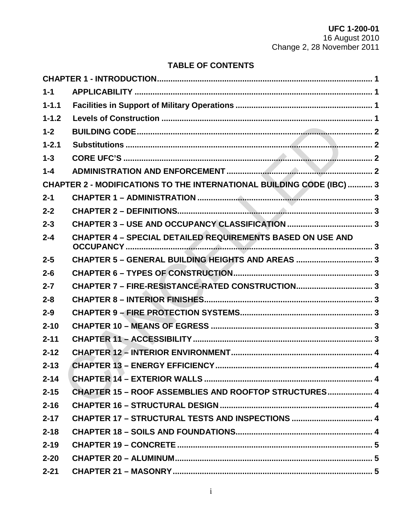### **TABLE OF CONTENTS**

| $1 - 1$   |                                                                              |  |
|-----------|------------------------------------------------------------------------------|--|
| $1 - 1.1$ |                                                                              |  |
| $1 - 1.2$ |                                                                              |  |
| $1 - 2$   |                                                                              |  |
| $1 - 2.1$ |                                                                              |  |
| $1 - 3$   |                                                                              |  |
| $1 - 4$   |                                                                              |  |
|           | <b>CHAPTER 2 - MODIFICATIONS TO THE INTERNATIONAL BUILDING CODE (IBC)  3</b> |  |
| $2 - 1$   |                                                                              |  |
| $2 - 2$   |                                                                              |  |
| $2 - 3$   |                                                                              |  |
| $2 - 4$   | <b>CHAPTER 4 - SPECIAL DETAILED REQUIREMENTS BASED ON USE AND</b>            |  |
| $2 - 5$   | CHAPTER 5 - GENERAL BUILDING HEIGHTS AND AREAS  3                            |  |
| $2 - 6$   |                                                                              |  |
| $2 - 7$   | CHAPTER 7 - FIRE-RESISTANCE-RATED CONSTRUCTION 3                             |  |
| $2 - 8$   |                                                                              |  |
| $2 - 9$   |                                                                              |  |
| $2 - 10$  |                                                                              |  |
| $2 - 11$  |                                                                              |  |
| $2 - 12$  |                                                                              |  |
| $2 - 13$  |                                                                              |  |
| $2 - 14$  |                                                                              |  |
| $2 - 15$  | <b>CHAPTER 15 - ROOF ASSEMBLIES AND ROOFTOP STRUCTURES 4</b>                 |  |
| $2 - 16$  |                                                                              |  |
| $2 - 17$  |                                                                              |  |
| $2 - 18$  |                                                                              |  |
| $2 - 19$  |                                                                              |  |
| $2 - 20$  |                                                                              |  |
| $2 - 21$  |                                                                              |  |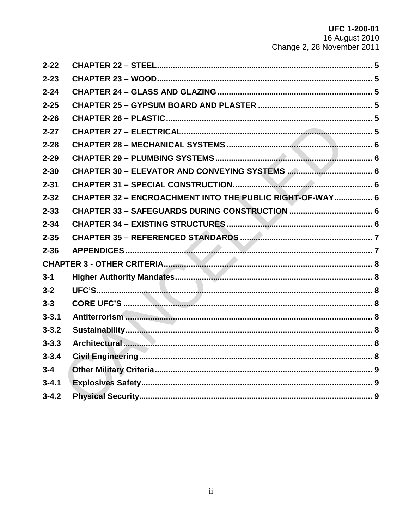| $2 - 22$  |                                                          |  |
|-----------|----------------------------------------------------------|--|
| $2 - 23$  |                                                          |  |
| $2 - 24$  |                                                          |  |
| $2 - 25$  |                                                          |  |
| $2 - 26$  |                                                          |  |
| $2 - 27$  |                                                          |  |
| $2 - 28$  |                                                          |  |
| $2 - 29$  |                                                          |  |
| $2 - 30$  |                                                          |  |
| $2 - 31$  |                                                          |  |
| $2 - 32$  | CHAPTER 32 - ENCROACHMENT INTO THE PUBLIC RIGHT-OF-WAY 6 |  |
| $2 - 33$  |                                                          |  |
| $2 - 34$  |                                                          |  |
| $2 - 35$  |                                                          |  |
| $2 - 36$  |                                                          |  |
|           |                                                          |  |
| $3 - 1$   |                                                          |  |
| $3 - 2$   |                                                          |  |
| $3 - 3$   |                                                          |  |
| $3 - 3.1$ |                                                          |  |
| $3 - 3.2$ |                                                          |  |
| $3 - 3.3$ |                                                          |  |
| $3 - 3.4$ |                                                          |  |
| $3 - 4$   |                                                          |  |
| $3 - 4.1$ |                                                          |  |
|           |                                                          |  |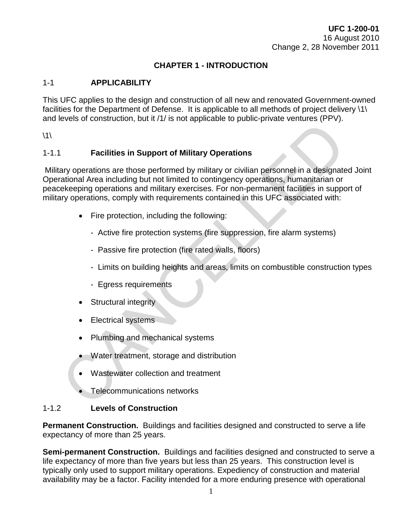### **CHAPTER 1 - INTRODUCTION**

### <span id="page-6-1"></span><span id="page-6-0"></span>1-1 **APPLICABILITY**

This UFC applies to the design and construction of all new and renovated Government-owned facilities for the Department of Defense. It is applicable to all methods of project delivery \1\ and levels of construction, but it /1/ is not applicable to public-private ventures (PPV).

 $\backslash$ 1 $\backslash$ 

### <span id="page-6-2"></span>1-1.1 **Facilities in Support of Military Operations**

Military operations are those performed by military or civilian personnel in a designated Joint Operational Area including but not limited to contingency operations, humanitarian or peacekeeping operations and military exercises. For non-permanent facilities in support of military operations, comply with requirements contained in this UFC associated with: Facilities in Support of Military Operations<br>
Sary operations are those performed by military or civilian personnel in a designate<br>
Sary operations are those performed by military or civilian personnel in a designate<br>
Sary

- Fire protection, including the following:
	- Active fire protection systems (fire suppression, fire alarm systems)
	- Passive fire protection (fire rated walls, floors)
	- Limits on building heights and areas, limits on combustible construction types
	- Egress requirements
- **Structural integrity**
- Electrical systems
- Plumbing and mechanical systems
- Water treatment, storage and distribution
- Wastewater collection and treatment
- Telecommunications networks

### <span id="page-6-3"></span>1-1.2 **Levels of Construction**

**Permanent Construction.** Buildings and facilities designed and constructed to serve a life expectancy of more than 25 years.

**Semi-permanent Construction.** Buildings and facilities designed and constructed to serve a life expectancy of more than five years but less than 25 years. This construction level is typically only used to support military operations. Expediency of construction and material availability may be a factor. Facility intended for a more enduring presence with operational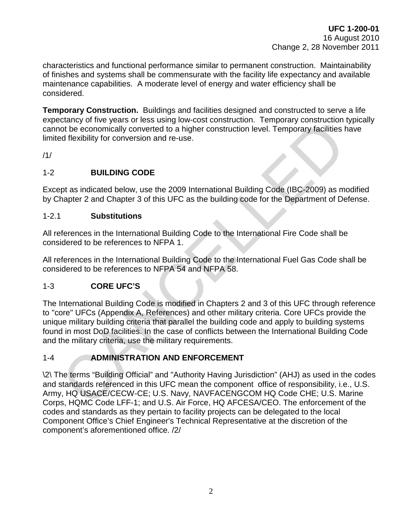characteristics and functional performance similar to permanent construction. Maintainability of finishes and systems shall be commensurate with the facility life expectancy and available maintenance capabilities. A moderate level of energy and water efficiency shall be considered.

**Temporary Construction.** Buildings and facilities designed and constructed to serve a life expectancy of five years or less using low-cost construction. Temporary construction typically cannot be economically converted to a higher construction level. Temporary facilities have limited flexibility for conversion and re-use.

/1/

### <span id="page-7-0"></span>1-2 **BUILDING CODE**

Except as indicated below, use the 2009 International Building Code (IBC-2009) as modified by Chapter 2 and Chapter 3 of this UFC as the building code for the Department of Defense.

### <span id="page-7-1"></span>1-2.1 **Substitutions**

All references in the International Building Code to the International Fire Code shall be considered to be references to NFPA 1.

All references in the International Building Code to the International Fuel Gas Code shall be considered to be references to NFPA 54 and NFPA 58.

### <span id="page-7-2"></span>1-3 **CORE UFC'S**

The International Building Code is modified in Chapters 2 and 3 of this UFC through reference to "core" UFCs (Appendix A, References) and other military criteria. Core UFCs provide the unique military building criteria that parallel the building code and apply to building systems found in most DoD facilities. In the case of conflicts between the International Building Code and the military criteria, use the military requirements. other of the economically converted to a higher construction level. Temporary facilities to the economically converted to a higher construction level. Temporary facilities to the economically converted to a higher construc

### <span id="page-7-3"></span>1-4 **ADMINISTRATION AND ENFORCEMENT**

\2\ The terms "Building Official" and "Authority Having Jurisdiction" (AHJ) as used in the codes and standards referenced in this UFC mean the component office of responsibility, i.e., U.S. Army, HQ USACE/CECW-CE; U.S. Navy, NAVFACENGCOM HQ Code CHE; U.S. Marine Corps, HQMC Code LFF-1; and U.S. Air Force, HQ AFCESA/CEO. The enforcement of the codes and standards as they pertain to facility projects can be delegated to the local Component Office's Chief Engineer's Technical Representative at the discretion of the component's aforementioned office. /2/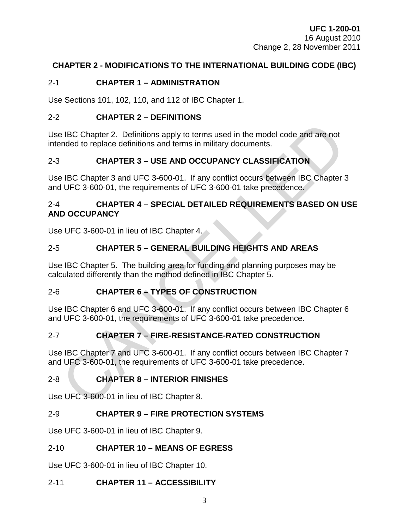### <span id="page-8-0"></span>**CHAPTER 2 - MODIFICATIONS TO THE INTERNATIONAL BUILDING CODE (IBC)**

### <span id="page-8-1"></span>2-1 **CHAPTER 1 – ADMINISTRATION**

Use Sections 101, 102, 110, and 112 of IBC Chapter 1.

### <span id="page-8-2"></span>2-2 **CHAPTER 2 – DEFINITIONS**

Use IBC Chapter 2. Definitions apply to terms used in the model code and are not intended to replace definitions and terms in military documents.

### <span id="page-8-3"></span>2-3 **CHAPTER 3 – USE AND OCCUPANCY CLASSIFICATION**

<span id="page-8-4"></span>Use IBC Chapter 3 and UFC 3-600-01. If any conflict occurs between IBC Chapter 3 and UFC 3-600-01, the requirements of UFC 3-600-01 take precedence.

# 2-4 **CHAPTER 4 – SPECIAL DETAILED REQUIREMENTS BASED ON USE AND OCCUPANCY** 9 IBC Chapter 2. Definitions apply to terms used in the model code and are not<br>
mded to replace definitions and terms in military documents.<br>
CHAPTER 3 – USE AND OCCUPANCY CLASSIFICATION<br>
9 IBC Chapter 3 and UFC 3-600-01.

Use UFC 3-600-01 in lieu of IBC Chapter 4.

### <span id="page-8-5"></span>2-5 **CHAPTER 5 – GENERAL BUILDING HEIGHTS AND AREAS**

Use IBC Chapter 5. The building area for funding and planning purposes may be calculated differently than the method defined in IBC Chapter 5.

### <span id="page-8-6"></span>2-6 **CHAPTER 6 – TYPES OF CONSTRUCTION**

Use IBC Chapter 6 and UFC 3-600-01. If any conflict occurs between IBC Chapter 6 and UFC 3-600-01, the requirements of UFC 3-600-01 take precedence.

### <span id="page-8-7"></span>2-7 **CHAPTER 7 – FIRE-RESISTANCE-RATED CONSTRUCTION**

Use IBC Chapter 7 and UFC 3-600-01. If any conflict occurs between IBC Chapter 7 and UFC 3-600-01, the requirements of UFC 3-600-01 take precedence.

### <span id="page-8-8"></span>2-8 **CHAPTER 8 – INTERIOR FINISHES**

Use UFC 3-600-01 in lieu of IBC Chapter 8.

### <span id="page-8-9"></span>2-9 **CHAPTER 9 – FIRE PROTECTION SYSTEMS**

Use UFC 3-600-01 in lieu of IBC Chapter 9.

### <span id="page-8-10"></span>2-10 **CHAPTER 10 – MEANS OF EGRESS**

Use UFC 3-600-01 in lieu of IBC Chapter 10.

### <span id="page-8-11"></span>2-11 **CHAPTER 11 – ACCESSIBILITY**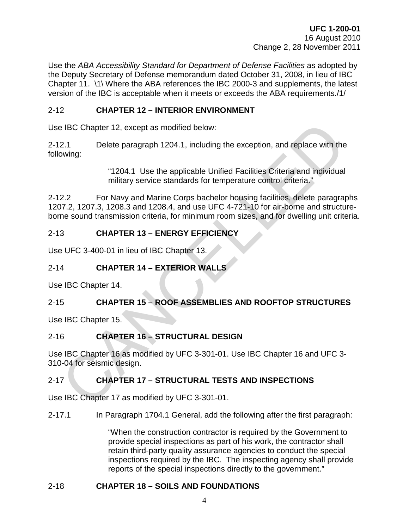Use the *ABA Accessibility Standard for Department of Defense Facilities* as adopted by the Deputy Secretary of Defense memorandum dated October 31, 2008, in lieu of IBC Chapter 11. \1\ Where the ABA references the IBC 2000-3 and supplements, the latest version of the IBC is acceptable when it meets or exceeds the ABA requirements./1/

### <span id="page-9-0"></span>2-12 **CHAPTER 12 – INTERIOR ENVIRONMENT**

Use IBC Chapter 12, except as modified below:

2-12.1 Delete paragraph 1204.1, including the exception, and replace with the following:

> "1204.1 Use the applicable Unified Facilities Criteria and individual military service standards for temperature control criteria."

2-12.2 For Navy and Marine Corps bachelor housing facilities, delete paragraphs 1207.2, 1207.3, 1208.3 and 1208.4, and use UFC 4-721-10 for air-borne and structureborne sound transmission criteria, for minimum room sizes, and for dwelling unit criteria. 9 IBC Chapter 12, except as modified below:<br>
2.1 Delete paragraph 1204.1, including the exception, and replace with the<br>
2.2 For Niltary service standards for temperature control criteria."<br>
2.2 For Navy and Marine Corps

### <span id="page-9-1"></span>2-13 **CHAPTER 13 – ENERGY EFFICIENCY**

Use UFC 3-400-01 in lieu of IBC Chapter 13.

### <span id="page-9-2"></span>2-14 **CHAPTER 14 – EXTERIOR WALLS**

Use IBC Chapter 14.

### <span id="page-9-3"></span>2-15 **CHAPTER 15 – ROOF ASSEMBLIES AND ROOFTOP STRUCTURES**

Use IBC Chapter 15.

### <span id="page-9-4"></span>2-16 **CHAPTER 16 – STRUCTURAL DESIGN**

Use IBC Chapter 16 as modified by UFC 3-301-01. Use IBC Chapter 16 and UFC 3- 310-04 for seismic design.

### <span id="page-9-5"></span>2-17 **CHAPTER 17 – STRUCTURAL TESTS AND INSPECTIONS**

Use IBC Chapter 17 as modified by UFC 3-301-01.

2-17.1 In Paragraph 1704.1 General, add the following after the first paragraph:

"When the construction contractor is required by the Government to provide special inspections as part of his work, the contractor shall retain third-party quality assurance agencies to conduct the special inspections required by the IBC. The inspecting agency shall provide reports of the special inspections directly to the government."

### <span id="page-9-6"></span>2-18 **CHAPTER 18 – SOILS AND FOUNDATIONS**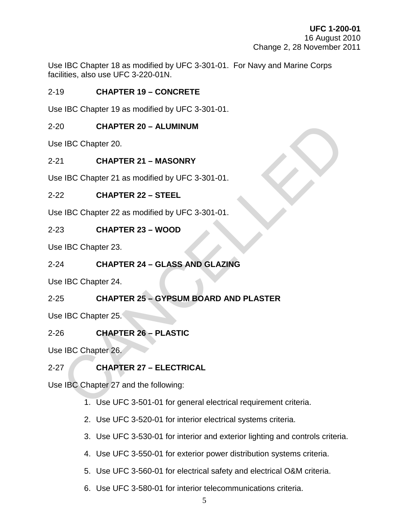Use IBC Chapter 18 as modified by UFC 3-301-01. For Navy and Marine Corps facilities, also use UFC 3-220-01N.

### <span id="page-10-0"></span>2-19 **CHAPTER 19 – CONCRETE**

Use IBC Chapter 19 as modified by UFC 3-301-01.

### <span id="page-10-1"></span>2-20 **CHAPTER 20 – ALUMINUM**

Use IBC Chapter 20.

### <span id="page-10-2"></span>2-21 **CHAPTER 21 – MASONRY**

Use IBC Chapter 21 as modified by UFC 3-301-01.

### <span id="page-10-3"></span>2-22 **CHAPTER 22 – STEEL**

Use IBC Chapter 22 as modified by UFC 3-301-01.

### <span id="page-10-4"></span>2-23 **CHAPTER 23 – WOOD**

Use IBC Chapter 23.

### <span id="page-10-5"></span>2-24 **CHAPTER 24 – GLASS AND GLAZING**

<span id="page-10-6"></span>Use IBC Chapter 24.

# 2-25 **CHAPTER 25 – GYPSUM BOARD AND PLASTER** 0 CHAPTER 20 - ALUMINUM<br>
1 CHAPTER 21 - MASONRY<br>
1 BC Chapter 21 as modified by UFC 3-301-01.<br>
2 CHAPTER 22 - STEEL<br>
1 BC Chapter 22 as modified by UFC 3-301-01.<br>
3 CHAPTER 23 - WOOD<br>
1 BC Chapter 23.<br>
4 CHAPTER 24 - GLASS

Use IBC Chapter 25.

### <span id="page-10-7"></span>2-26 **CHAPTER 26 – PLASTIC**

Use IBC Chapter 26.

### <span id="page-10-8"></span>2-27 **CHAPTER 27 – ELECTRICAL**

Use IBC Chapter 27 and the following:

- 1. Use UFC 3-501-01 for general electrical requirement criteria.
- 2. Use UFC 3-520-01 for interior electrical systems criteria.
- 3. Use UFC 3-530-01 for interior and exterior lighting and controls criteria.
- 4. Use UFC 3-550-01 for exterior power distribution systems criteria.
- 5. Use UFC 3-560-01 for electrical safety and electrical O&M criteria.
- 6. Use UFC 3-580-01 for interior telecommunications criteria.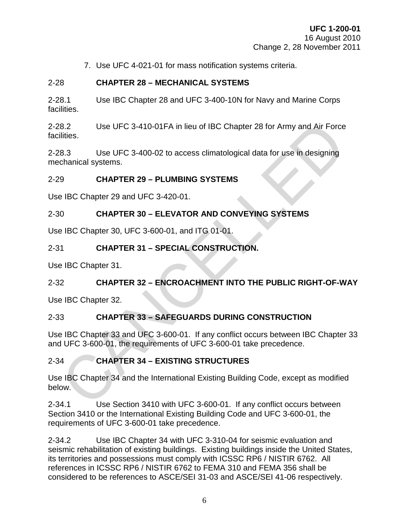7. Use UFC 4-021-01 for mass notification systems criteria.

### <span id="page-11-0"></span>2-28 **CHAPTER 28 – MECHANICAL SYSTEMS**

2-28.1 Use IBC Chapter 28 and UFC 3-400-10N for Navy and Marine Corps facilities.

2-28.2 Use UFC 3-410-01FA in lieu of IBC Chapter 28 for Army and Air Force facilities. 9.2 Use UFC 3-410-01FA in lieu of IBC Chapter 28 for Army and Air Force<br>
8.2 Use UFC 3-400-02 to access climatological data for use in designing<br>
chancical systems.<br>
9 CHAPTER 29 – PLUMBING SYSTEMS<br>
9 IBC Chapter 29 and UF

2-28.3 Use UFC 3-400-02 to access climatological data for use in designing mechanical systems.

### <span id="page-11-1"></span>2-29 **CHAPTER 29 – PLUMBING SYSTEMS**

Use IBC Chapter 29 and UFC 3-420-01.

### <span id="page-11-2"></span>2-30 **CHAPTER 30 – ELEVATOR AND CONVEYING SYSTEMS**

Use IBC Chapter 30, UFC 3-600-01, and ITG 01-01.

### <span id="page-11-3"></span>2-31 **CHAPTER 31 – SPECIAL CONSTRUCTION.**

Use IBC Chapter 31.

### <span id="page-11-4"></span>2-32 **CHAPTER 32 – ENCROACHMENT INTO THE PUBLIC RIGHT-OF-WAY**

Use IBC Chapter 32.

### <span id="page-11-5"></span>2-33 **CHAPTER 33 – SAFEGUARDS DURING CONSTRUCTION**

Use IBC Chapter 33 and UFC 3-600-01. If any conflict occurs between IBC Chapter 33 and UFC 3-600-01, the requirements of UFC 3-600-01 take precedence.

### <span id="page-11-6"></span>2-34 **CHAPTER 34 – EXISTING STRUCTURES**

Use IBC Chapter 34 and the International Existing Building Code, except as modified below.

2-34.1 Use Section 3410 with UFC 3-600-01. If any conflict occurs between Section 3410 or the International Existing Building Code and UFC 3-600-01, the requirements of UFC 3-600-01 take precedence.

2-34.2 Use IBC Chapter 34 with UFC 3-310-04 for seismic evaluation and seismic rehabilitation of existing buildings. Existing buildings inside the United States, its territories and possessions must comply with ICSSC RP6 / NISTIR 6762. All references in ICSSC RP6 / NISTIR 6762 to FEMA 310 and FEMA 356 shall be considered to be references to ASCE/SEI 31-03 and ASCE/SEI 41-06 respectively.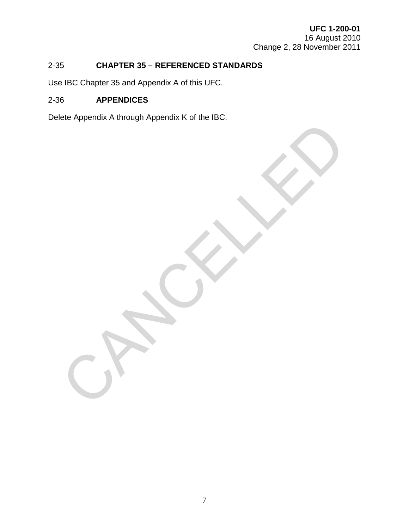### <span id="page-12-0"></span>2-35 **CHAPTER 35 – REFERENCED STANDARDS**

Use IBC Chapter 35 and Appendix A of this UFC.

### <span id="page-12-1"></span>2-36 **APPENDICES**

Delete Appendix A through Appendix K of the IBC.

CANCALLED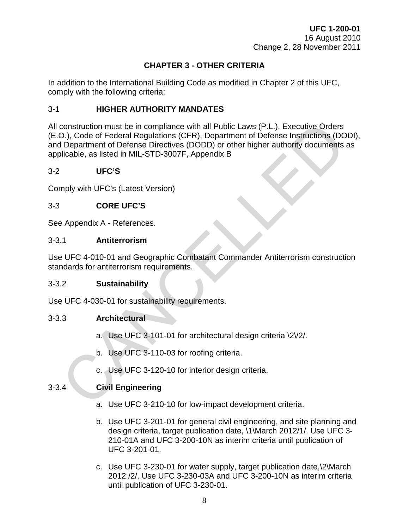### **CHAPTER 3 - OTHER CRITERIA**

<span id="page-13-0"></span>In addition to the International Building Code as modified in Chapter 2 of this UFC, comply with the following criteria:

### <span id="page-13-1"></span>3-1 **HIGHER AUTHORITY MANDATES**

All construction must be in compliance with all Public Laws (P.L.), Executive Orders (E.O.), Code of Federal Regulations (CFR), Department of Defense Instructions (DODI), and Department of Defense Directives (DODD) or other higher authority documents as applicable, as listed in MIL-STD-3007F, Appendix B construction must be in compliance with all Public Laws (P.L.), Executive Orders<br>
2.), Code of Federal Regulations (CFR), Department of Defense Instructions (DCD)<br>
Department of Defense Directives (DODD) or other higher au

### <span id="page-13-2"></span>3-2 **UFC'S**

Comply with UFC's (Latest Version)

### <span id="page-13-3"></span>3-3 **CORE UFC'S**

See Appendix A - References.

### <span id="page-13-4"></span>3-3.1 **Antiterrorism**

Use UFC 4-010-01 and Geographic Combatant Commander Antiterrorism construction standards for antiterrorism requirements.

### <span id="page-13-5"></span>3-3.2 **Sustainability**

Use UFC 4-030-01 for sustainability requirements.

### <span id="page-13-6"></span>3-3.3 **Architectural**

- a. Use UFC 3-101-01 for architectural design criteria \2\/2/.
- b. Use UFC 3-110-03 for roofing criteria.
- c. Use UFC 3-120-10 for interior design criteria.

### <span id="page-13-7"></span>3-3.4 **Civil Engineering**

- a. Use UFC 3-210-10 for low-impact development criteria.
- b. Use UFC 3-201-01 for general civil engineering, and site planning and design criteria, target publication date, \1\March 2012/1/. Use UFC 3- 210-01A and UFC 3-200-10N as interim criteria until publication of UFC 3-201-01.
- c. Use UFC 3-230-01 for water supply, target publication date,\2\March 2012 /2/. Use UFC 3-230-03A and UFC 3-200-10N as interim criteria until publication of UFC 3-230-01.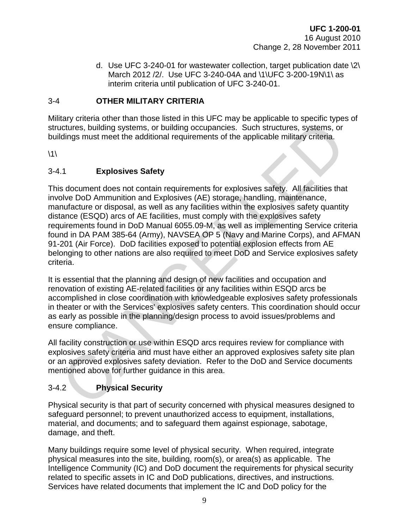d. Use UFC 3-240-01 for wastewater collection, target publication date \2\ March 2012 /2/. Use UFC 3-240-04A and \1\UFC 3-200-19N\1\ as interim criteria until publication of UFC 3-240-01.

### <span id="page-14-0"></span>3-4 **OTHER MILITARY CRITERIA**

Military criteria other than those listed in this UFC may be applicable to specific types of structures, building systems, or building occupancies. Such structures, systems, or buildings must meet the additional requirements of the applicable military criteria.

 $\backslash$ 1 $\backslash$ 

### <span id="page-14-1"></span>3-4.1 **Explosives Safety**

This document does not contain requirements for explosives safety. All facilities that involve DoD Ammunition and Explosives (AE) storage, handling, maintenance, manufacture or disposal, as well as any facilities within the explosives safety quantity distance (ESQD) arcs of AE facilities, must comply with the explosives safety requirements found in DoD Manual 6055.09-M, as well as implementing Service criteria found in DA PAM 385-64 (Army), NAVSEA OP 5 (Navy and Marine Corps), and AFMAN 91-201 (Air Force). DoD facilities exposed to potential explosion effects from AE belonging to other nations are also required to meet DoD and Service explosives safety criteria. compare the and the planning order of the planning of the planning of the planning states are planning in the special security of the special security of the special security of the special security. The school American do

It is essential that the planning and design of new facilities and occupation and renovation of existing AE-related facilities or any facilities within ESQD arcs be accomplished in close coordination with knowledgeable explosives safety professionals in theater or with the Services' explosives safety centers. This coordination should occur as early as possible in the planning/design process to avoid issues/problems and ensure compliance.

All facility construction or use within ESQD arcs requires review for compliance with explosives safety criteria and must have either an approved explosives safety site plan or an approved explosives safety deviation. Refer to the DoD and Service documents mentioned above for further guidance in this area.

### <span id="page-14-2"></span>3-4.2 **Physical Security**

Physical security is that part of security concerned with physical measures designed to safeguard personnel; to prevent unauthorized access to equipment, installations, material, and documents; and to safeguard them against espionage, sabotage, damage, and theft.

Many buildings require some level of physical security. When required, integrate physical measures into the site, building, room(s), or area(s) as applicable. The Intelligence Community (IC) and DoD document the requirements for physical security related to specific assets in IC and DoD publications, directives, and instructions. Services have related documents that implement the IC and DoD policy for the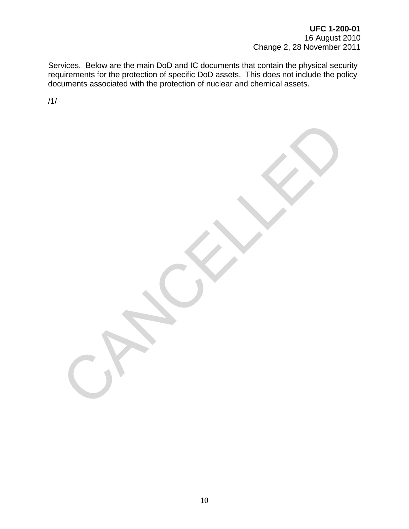Services. Below are the main DoD and IC documents that contain the physical security requirements for the protection of specific DoD assets. This does not include the policy documents associated with the protection of nuclear and chemical assets.

CANCELLED

/1/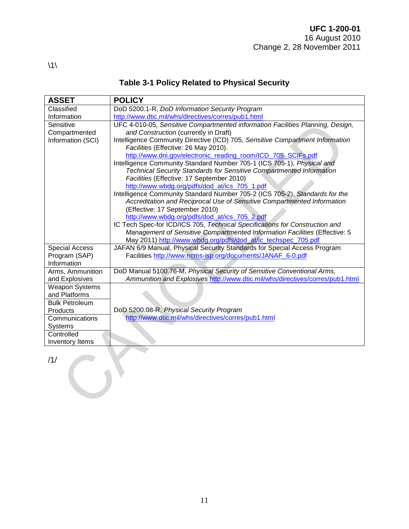| <b>ASSET</b>          | <b>POLICY</b>                                                                                                                |
|-----------------------|------------------------------------------------------------------------------------------------------------------------------|
| Classified            | DoD 5200.1-R, DoD Information Security Program                                                                               |
| Information           | http://www.dtic.mil/whs/directives/corres/pub1.html                                                                          |
| Sensitive             | UFC 4-010-05, Sensitive Compartmented information Facilities Planning, Design,                                               |
| Compartmented         | and Construction (currently in Draft)                                                                                        |
| Information (SCI)     | Intelligence Community Directive (ICD) 705, Sensitive Compartment Information                                                |
|                       | Facilities (Effective: 26 May 2010).                                                                                         |
|                       | http://www.dni.gov/electronic_reading_room/ICD_705_SCIFs.pdf                                                                 |
|                       | Intelligence Community Standard Number 705-1 (ICS 705-1), Physical and                                                       |
|                       | Technical Security Standards for Sensitive Compartmented Information                                                         |
|                       | Facilities (Effective: 17 September 2010)                                                                                    |
|                       | http://www.wbdg.org/pdfs/dod_at/ics_705_1.pdf                                                                                |
|                       | Intelligence Community Standard Number 705-2 (ICS 705-2), Standards for the                                                  |
|                       | Accreditation and Reciprocal Use of Sensitive Compartmented Information                                                      |
|                       | (Effective: 17 September 2010)                                                                                               |
|                       | http://www.wbdg.org/pdfs/dod_at/ics_705_2.pdf<br>IC Tech Spec-for ICD/ICS 705, Technical Specifications for Construction and |
|                       | Management of Sensitive Compartmented Information Facilities (Effective: 5                                                   |
|                       | May 2011) http://www.wbdg.org/pdfs/dod_at/ic_techspec_705.pdf                                                                |
| <b>Special Access</b> | JAFAN 6/9 Manual, Physical Security Standards for Special Access Program                                                     |
| Program (SAP)         | Facilities http://www.ncms-isp.org/documents/JANAF_6-0.pdf                                                                   |
| Information           |                                                                                                                              |
| Arms, Ammunition      | DoD Manual 5100.76-M, Physical Security of Sensitive Conventional Arms,                                                      |
| and Explosives        | Ammunition and Explosives http://www.dtic.mil/whs/directives/corres/pub1.html                                                |
| <b>Weapon Systems</b> |                                                                                                                              |
| and Platforms         |                                                                                                                              |
| <b>Bulk Petroleum</b> |                                                                                                                              |
| Products              | DoD 5200.08-R, Physical Security Program                                                                                     |
| Communications        | http://www.dtic.mil/whs/directives/corres/pub1.html                                                                          |
| <b>Systems</b>        |                                                                                                                              |
| Controlled            |                                                                                                                              |
| Inventory Items       |                                                                                                                              |
|                       |                                                                                                                              |
| /1/                   |                                                                                                                              |
|                       |                                                                                                                              |
|                       |                                                                                                                              |
|                       |                                                                                                                              |
|                       |                                                                                                                              |
|                       |                                                                                                                              |

### **Table 3-1 Policy Related to Physical Security**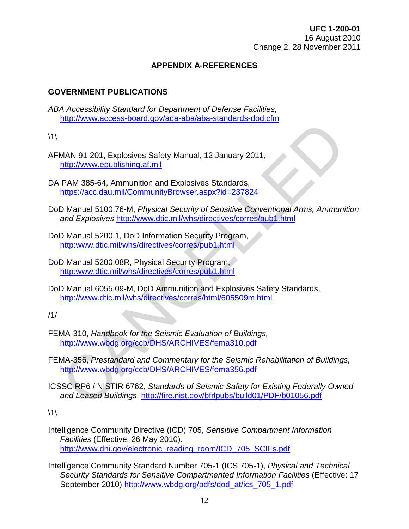### **APPENDIX A-REFERENCES**

### **GOVERNMENT PUBLICATIONS**

*ABA Accessibility Standard for Department of Defense Facilities,* <http://www.access-board.gov/ada-aba/aba-standards-dod.cfm>

 $\backslash$ 1 $\backslash$ 

- AFMAN 91-201, Explosives Safety Manual, 12 January 2011, http://www.epublishing.af.mil
- DA PAM 385-64, Ammunition and Explosives Standards, https://acc.dau.mil/CommunityBrowser.aspx?id=237824
- DoD Manual 5100.76-M, *Physical Security of Sensitive Conventional Arms, Ammunition and Explosives* http://www.dtic.mil/whs/directives/corres/pub1.html MAN 91-201, Explosives Safety Manual, 12 January 2011,<br>
http://www.epublishing.af.mil<br>
PAM 385-64, Ammunition and Explosives Standards,<br>
PHDS://acc dau.mil/CommunityBrowser.aspx?id=237824<br>
DIManual 5100.76-M, *Physical Sec*
- DoD Manual 5200.1, DoD Information Security Program, http:www.dtic.mil/whs/directives/corres/pub1.html
- DoD Manual 5200.08R, Physical Security Program, http:www.dtic.mil/whs/directives/corres/pub1.html
- DoD Manual 6055.09-M, DoD Ammunition and Explosives Safety Standards, http://www.dtic.mil/whs/directives/corres/html/605509m.html

/1/

- FEMA-310, *Handbook for the Seismic Evaluation of Buildings,*  http://www.wbdg.org/ccb/DHS/ARCHIVES/fema310.pdf
- FEMA-356, *Prestandard and Commentary for the Seismic Rehabilitation of Buildings,*  http://www.wbdg.org/ccb/DHS/ARCHIVES/fema356.pdf
- ICSSC RP6 / NISTIR 6762, *Standards of Seismic Safety for Existing Federally Owned and Leased Buildings*, http://fire.nist.gov/bfrlpubs/build01/PDF/b01056.pdf

 $\backslash$ 1 $\backslash$ 

- Intelligence Community Directive (ICD) 705, *Sensitive Compartment Information Facilities* (Effective: 26 May 2010). http://www.dni.gov/electronic\_reading\_room/ICD\_705\_SCIFs.pdf
- Intelligence Community Standard Number 705-1 (ICS 705-1), *Physical and Technical Security Standards for Sensitive Compartmented Information Facilities* (Effective: 17 September 2010) [http://www.wbdg.org/pdfs/dod\\_at/ics\\_705\\_1.pdf](http://www.wbdg.org/pdfs/dod_at/ics_705_1.pdf)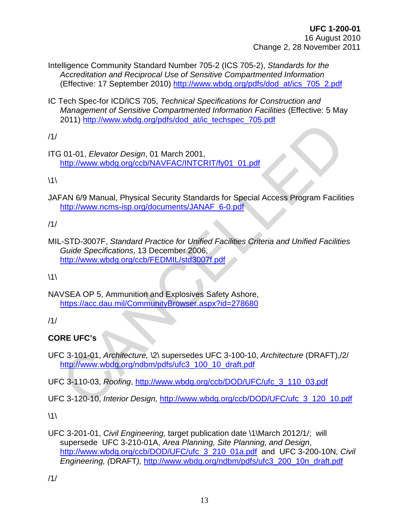- Intelligence Community Standard Number 705-2 (ICS 705-2), *Standards for the Accreditation and Reciprocal Use of Sensitive Compartmented Information*  (Effective: 17 September 2010) [http://www.wbdg.org/pdfs/dod\\_at/ics\\_705\\_2.pdf](http://www.wbdg.org/pdfs/dod_at/ics_705_2.pdf)
- IC Tech Spec-for ICD/ICS 705, *Technical Specifications for Construction and Management of Sensitive Compartmented Information Facilities* (Effective: 5 May 2011) http://www.wbdg.org/pdfs/dod\_at/ic\_techspec\_705.pdf

/1/

ITG 01-01, *Elevator Design*, 01 March 2001, http://www.wbdg.org/ccb/NAVFAC/INTCRIT/fy01\_01.pdf

 $\backslash$ 1 $\backslash$ 

JAFAN 6/9 Manual, Physical Security Standards for Special Access Program Facilities http://www.ncms-isp.org/documents/JANAF\_6-0.pdf

/1/

MIL-STD-3007F, *Standard Practice for Unified Facilities Criteria and Unified Facilities Guide Specifications*, 13 December 2006, http://www.wbdg.org/ccb/FEDMIL/std3007f.pdf 1997) Hughers in March 2001,<br>
1997) Hughers International Control 2001,<br>
The May Manual, Physical Security Standards for Special Access Program Facilities<br>
1997) Hughers Words and Drivers is program Facilities<br>
1997–1997 -

 $\backslash$ 1 $\backslash$ 

NAVSEA OP 5, Ammunition and Explosives Safety Ashore, https://acc.dau.mil/CommunityBrowser.aspx?id=278680

/1/

### **CORE UFC's**

UFC 3-101-01, *Architecture,* \2\ supersedes UFC 3-100-10, *Architecture* (DRAFT),/2/ http://www.wbdg.org/ndbm/pdfs/ufc3\_100\_10\_draft.pdf

UFC 3-110-03, *Roofing*, http://www.wbdg.org/ccb/DOD/UFC/ufc\_3\_110\_03.pdf

UFC 3-120-10, *Interior Design,* http://www.wbdg.org/ccb/DOD/UFC/ufc\_3\_120\_10.pdf

 $\backslash$ 1 $\backslash$ 

UFC 3-201-01, *Civil Engineering,* target publication date \1\March 2012/1/; will supersede UFC 3-210-01A, *Area Planning, Site Planning, and Design*, [http://www.wbdg.org/ccb/DOD/UFC/ufc\\_3\\_210\\_01a.pdf](http://www.wbdg.org/ccb/DOD/UFC/ufc_3_210_01a.pdf) and UFC 3-200-10N, *Civil Engineering, (*DRAFT*),* [http://www.wbdg.org/ndbm/pdfs/ufc3\\_200\\_10n\\_draft.pdf](http://www.wbdg.org/ndbm/pdfs/ufc3_200_10n_draft.pdf)

/1/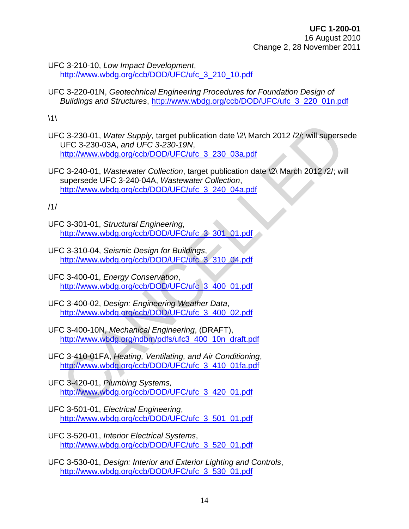UFC 3-210-10, *Low Impact Development*, http://www.wbdg.org/ccb/DOD/UFC/ufc\_3\_210\_10.pdf

UFC 3-220-01N, *Geotechnical Engineering Procedures for Foundation Design of Buildings and Structures*, [http://www.wbdg.org/ccb/DOD/UFC/ufc\\_3\\_220\\_01n.pdf](http://www.wbdg.org/ccb/DOD/UFC/ufc_3_220_01n.pdf)

 $\backslash$ 1 $\backslash$ 

UFC 3-230-01, *Water Supply,* target publication date \2\ March 2012 /2/; will supersede UFC 3-230-03A, *and UFC 3-230-19N*, http://www.wbdg.org/ccb/DOD/UFC/ufc\_3\_230\_03a.pdf

UFC 3-240-01, *Wastewater Collection*, target publication date \2\ March 2012 /2/; will supersede UFC 3-240-04A, *Wastewater Collection*, http://www.wbdg.org/ccb/DOD/UFC/ufc\_3\_240\_04a.pdf [C](http://www.wbdg.org/ccb/DOD/UFC/ufc_3_400_01.pdf) 3-230-01, *Water Supply*, target publication date \2\ March 2012 /2/; will superse<br>UFC 3-230-03[A](http://www.wbdg.org/ccb/DOD/UFC/ufc_3_410_01fa.pdf), and UFC 3-230-19[N](http://www.wbdg.org/ccb/DOD/UFC/ufc_3_400_02.pdf),<br>http://www.wbdg.org/ccb/DOD/UFC/ufc 3 230 03a.pdf<br>thp://www.wbdg.org/ccb/DOD/UFC/ufc 3 230 03a.pdf<br>supe

/1/

- UFC 3-301-01, *Structural Engineering*, http://www.wbdg.org/ccb/DOD/UFC/ufc\_3\_301\_01.pdf
- UFC 3-310-04, *Seismic Design for Buildings*, http://www.wbdg.org/ccb/DOD/UFC/ufc\_3\_310\_04.pdf
- UFC 3-400-01, *Energy Conservation*, http://www.wbdg.org/ccb/DOD/UFC/ufc\_3\_400\_01.pdf
- UFC 3-400-02, *Design: Engineering Weather Data*, http://www.wbdg.org/ccb/DOD/UFC/ufc\_3\_400\_02.pdf
- UFC 3-400-10N, *Mechanical Engineering*, (DRAFT), http://www.wbdg.org/ndbm/pdfs/ufc3\_400\_10n\_draft.pdf
- UFC 3-410-01FA, *Heating, Ventilating, and Air Conditioning*, http://www.wbdg.org/ccb/DOD/UFC/ufc\_3\_410\_01fa.pdf
- UFC 3-420-01, *Plumbing Systems,* http://www.wbdg.org/ccb/DOD/UFC/ufc\_3\_420\_01.pdf
- UFC 3-501-01, *Electrical Engineering*, [http://www.wbdg.org/ccb/DOD/UFC/ufc\\_3\\_501\\_01.pdf](http://www.wbdg.org/ccb/DOD/UFC/ufc_3_520_01.pdf)
- UFC 3-520-01, *Interior Electrical Systems*, [http://www.wbdg.org/ccb/DOD/UFC/ufc\\_3\\_520\\_01.pdf](http://www.wbdg.org/ccb/DOD/UFC/ufc_3_520_01.pdf)
- UFC 3-530-01, *Design: Interior and Exterior Lighting and Controls*, [http://www.wbdg.org/ccb/DOD/UFC/ufc\\_3\\_530\\_01.pdf](http://www.wbdg.org/ccb/DOD/UFC/ufc_3_530_01.pdf)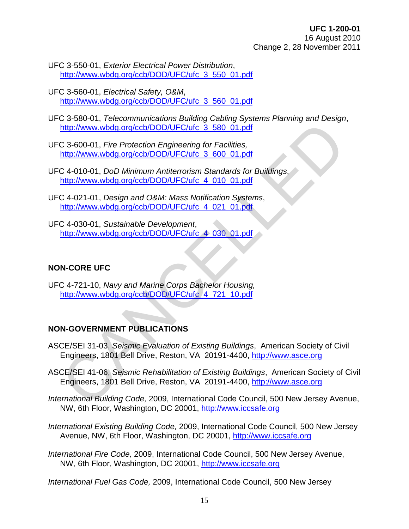- UFC 3-550-01, *Exterior Electrical Power Distribution*, [http://www.wbdg.org/ccb/DOD/UFC/ufc\\_3\\_550\\_01.pdf](http://www.wbdg.org/ccb/DOD/UFC/ufc_3_550_01.pdf)
- UFC 3-560-01, *Electrical Safety, O&M*, [http://www.wbdg.org/ccb/DOD/UFC/ufc\\_3\\_560\\_01.pdf](http://www.wbdg.org/ccb/DOD/UFC/ufc_3_560_01.pdf)

UFC 3-580-01, *Telecommunications Building Cabling Systems Planning and Design*, http://www.wbdg.org/ccb/DOD/UFC/ufc\_3\_580\_01.pdf

UFC 3-600-01, *Fire Protection Engineering for Facilities,*  http://www.wbdg.org/ccb/DOD/UFC/ufc\_3\_600\_01.pdf

UFC 4-010-01, *DoD Minimum Antiterrorism Standards for Buildings*, http://www.wbdg.org/ccb/DOD/UFC/ufc\_4\_010\_01.pdf

- UFC 4-021-01, *Design and O&M: Mass Notification Systems*, http://www.wbdg.org/ccb/DOD/UFC/ufc\_4\_021\_01.pdf
- UFC 4-030-01, *Sustainable Development*, http://www.wbdg.org/ccb/DOD/UFC/ufc\_4\_030\_01.pdf

### **NON-CORE UFC**

UFC 4-721-10, *Navy and Marine Corps Bachelor Housing,* http://www.wbdg.org/ccb/DOD/UFC/ufc\_4\_721\_10.pdf

### **NON-GOVERNMENT PUBLICATIONS**

- ASCE/SEI 31-03, *Seismic Evaluation of Existing Buildings*, American Society of Civil Engineers, 1801 Bell Drive, Reston, VA 20191-4400, http://www.asce.org
- ASCE/SEI 41-06, *Seismic Rehabilitation of Existing Buildings*, American Society of Civil Engineers, 1801 Bell Drive, Reston, VA 20191-4400, http://www.asce.org http://www.wbdq.org/ccb/DOD/UFC/utc 3 580 01.pdf<br>
C 3-600-01, Fire Protection Engineering for Facilities,<br>
http://www.wbdq.org/ccb/DOD/UFC/utc 3 600 01.pdf<br>
C 4-010-01, *DoD Minimum Antiterrorism Standards for Buildings*,<br>
- *International Building Code,* 2009, International Code Council, 500 New Jersey Avenue, NW, 6th Floor, Washington, DC 20001, [http://www.iccsafe.org](http://www.iccsafe.org/)
- *International Existing Building Code,* 2009, International Code Council, 500 New Jersey Avenue, NW, 6th Floor, Washington, DC 20001, [http://www.iccsafe.org](http://www.iccsafe.org/)
- *International Fire Code,* 2009, International Code Council, 500 New Jersey Avenue, NW, 6th Floor, Washington, DC 20001, [http://www.iccsafe.org](http://www.iccsafe.org/)

*International Fuel Gas Code,* 2009, International Code Council, 500 New Jersey